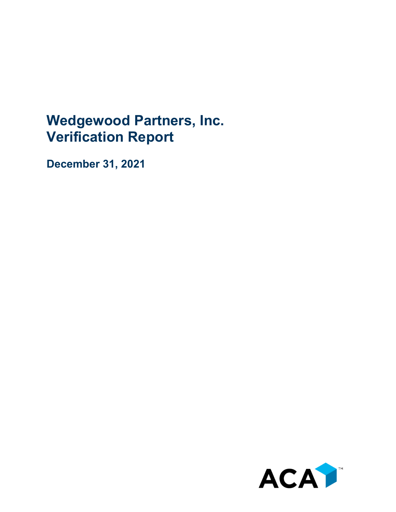## **Wedgewood Partners, Inc. Verification Report**

**December 31, 2021**

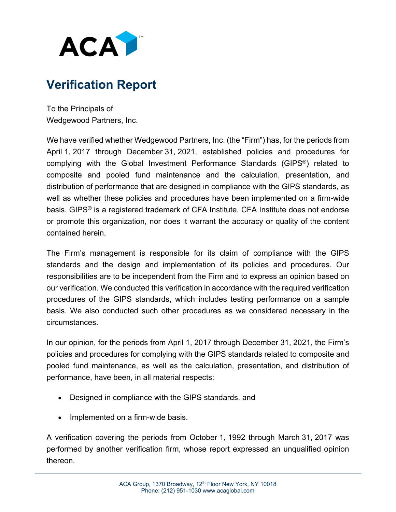

## **Verification Report**

To the Principals of Wedgewood Partners, Inc.

We have verified whether Wedgewood Partners, Inc. (the "Firm") has, for the periods from April 1, 2017 through December 31, 2021, established policies and procedures for complying with the Global Investment Performance Standards (GIPS®) related to composite and pooled fund maintenance and the calculation, presentation, and distribution of performance that are designed in compliance with the GIPS standards, as well as whether these policies and procedures have been implemented on a firm-wide basis. GIPS® is a registered trademark of CFA Institute. CFA Institute does not endorse or promote this organization, nor does it warrant the accuracy or quality of the content contained herein.

The Firm's management is responsible for its claim of compliance with the GIPS standards and the design and implementation of its policies and procedures. Our responsibilities are to be independent from the Firm and to express an opinion based on our verification. We conducted this verification in accordance with the required verification procedures of the GIPS standards, which includes testing performance on a sample basis. We also conducted such other procedures as we considered necessary in the circumstances.

In our opinion, for the periods from April 1, 2017 through December 31, 2021, the Firm's policies and procedures for complying with the GIPS standards related to composite and pooled fund maintenance, as well as the calculation, presentation, and distribution of performance, have been, in all material respects:

- Designed in compliance with the GIPS standards, and
- Implemented on a firm-wide basis.

A verification covering the periods from October 1, 1992 through March 31, 2017 was performed by another verification firm, whose report expressed an unqualified opinion thereon.